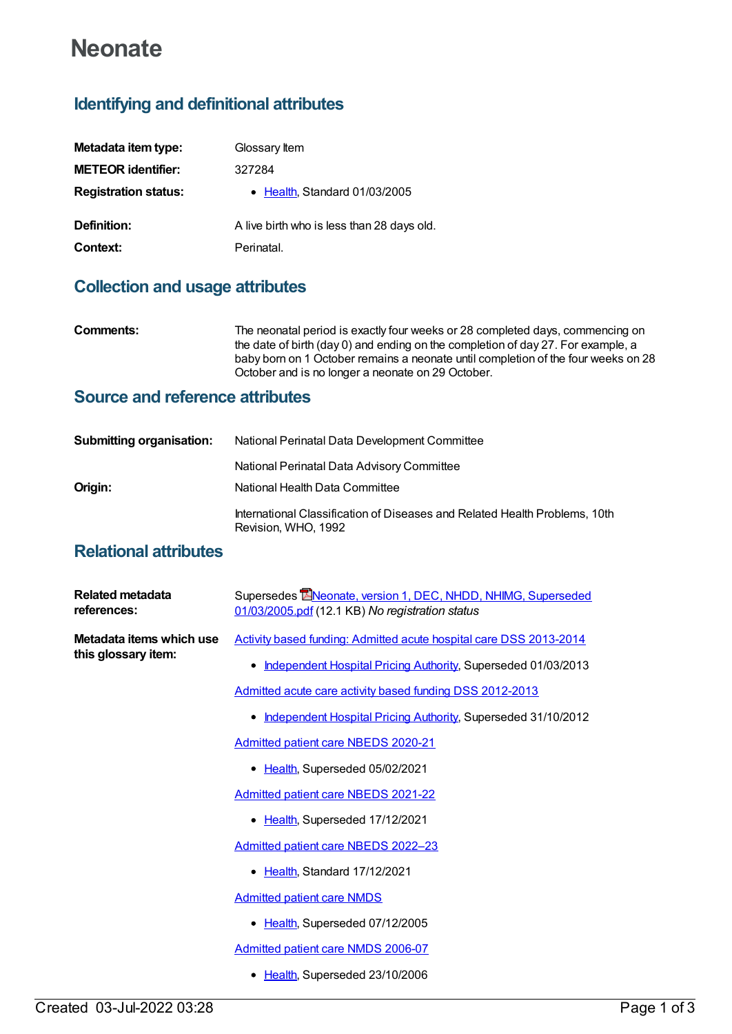# **Neonate**

## **Identifying and definitional attributes**

| Metadata item type:         | Glossary Item                              |
|-----------------------------|--------------------------------------------|
| <b>METEOR identifier:</b>   | 327284                                     |
| <b>Registration status:</b> | • Health, Standard 01/03/2005              |
| Definition:                 | A live birth who is less than 28 days old. |
| Context:                    | Perinatal.                                 |

## **Collection and usage attributes**

| Comments: | The neonatal period is exactly four weeks or 28 completed days, commencing on                                                                                         |
|-----------|-----------------------------------------------------------------------------------------------------------------------------------------------------------------------|
|           | the date of birth (day 0) and ending on the completion of day 27. For example, a<br>baby born on 1 October remains a neonate until completion of the four weeks on 28 |
|           | October and is no longer a neonate on 29 October.                                                                                                                     |

### **Source and reference attributes**

| <b>Submitting organisation:</b> | National Perinatal Data Development Committee                                                     |  |
|---------------------------------|---------------------------------------------------------------------------------------------------|--|
|                                 | National Perinatal Data Advisory Committee                                                        |  |
| Origin:                         | National Health Data Committee                                                                    |  |
|                                 | International Classification of Diseases and Related Health Problems, 10th<br>Revision, WHO, 1992 |  |

### **Relational attributes**

| Related metadata<br>references:                 | Supersedes Elveonate, version 1, DEC, NHDD, NHIMG, Superseded<br>01/03/2005.pdf (12.1 KB) No registration status |
|-------------------------------------------------|------------------------------------------------------------------------------------------------------------------|
| Metadata items which use<br>this glossary item: | Activity based funding: Admitted acute hospital care DSS 2013-2014                                               |
|                                                 | Independent Hospital Pricing Authority, Superseded 01/03/2013                                                    |
|                                                 | Admitted acute care activity based funding DSS 2012-2013                                                         |
|                                                 | Independent Hospital Pricing Authority, Superseded 31/10/2012                                                    |
|                                                 | <b>Admitted patient care NBEDS 2020-21</b>                                                                       |
|                                                 | • Health, Superseded 05/02/2021                                                                                  |
|                                                 | <b>Admitted patient care NBEDS 2021-22</b>                                                                       |
|                                                 | Health, Superseded 17/12/2021                                                                                    |
|                                                 | Admitted patient care NBEDS 2022-23                                                                              |
|                                                 | Health, Standard 17/12/2021                                                                                      |
|                                                 | <b>Admitted patient care NMDS</b>                                                                                |
|                                                 | Health, Superseded 07/12/2005<br>٠                                                                               |
|                                                 | <b>Admitted patient care NMDS 2006-07</b>                                                                        |
|                                                 | Health, Superseded 23/10/2006                                                                                    |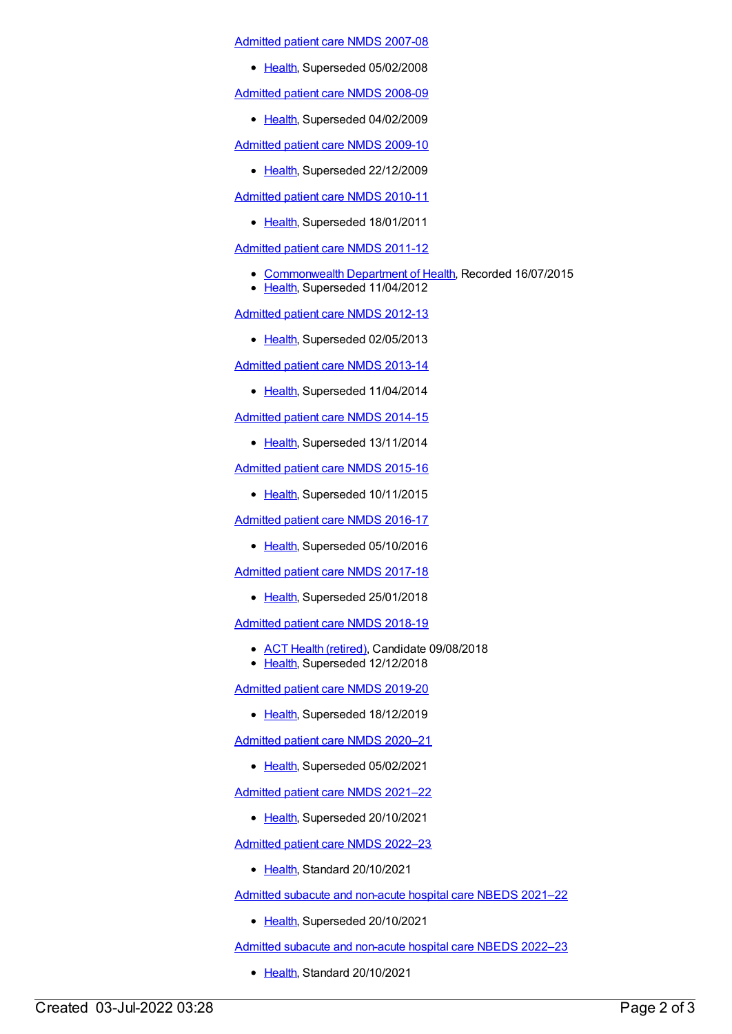[Admitted](https://meteor.aihw.gov.au/content/339089) patient care NMDS 2007-08

• [Health](https://meteor.aihw.gov.au/RegistrationAuthority/12), Superseded 05/02/2008

[Admitted](https://meteor.aihw.gov.au/content/361679) patient care NMDS 2008-09

• [Health](https://meteor.aihw.gov.au/RegistrationAuthority/12), Superseded 04/02/2009

[Admitted](https://meteor.aihw.gov.au/content/374205) patient care NMDS 2009-10

• [Health](https://meteor.aihw.gov.au/RegistrationAuthority/12), Superseded 22/12/2009

[Admitted](https://meteor.aihw.gov.au/content/386797) patient care NMDS 2010-11

• [Health](https://meteor.aihw.gov.au/RegistrationAuthority/12), Superseded 18/01/2011

[Admitted](https://meteor.aihw.gov.au/content/426861) patient care NMDS 2011-12

- [Commonwealth](https://meteor.aihw.gov.au/RegistrationAuthority/10) Department of Health, Recorded 16/07/2015
- [Health](https://meteor.aihw.gov.au/RegistrationAuthority/12), Superseded 11/04/2012

[Admitted](https://meteor.aihw.gov.au/content/466132) patient care NMDS 2012-13

• [Health](https://meteor.aihw.gov.au/RegistrationAuthority/12), Superseded 02/05/2013

[Admitted](https://meteor.aihw.gov.au/content/491555) patient care NMDS 2013-14

• [Health](https://meteor.aihw.gov.au/RegistrationAuthority/12), Superseded 11/04/2014

[Admitted](https://meteor.aihw.gov.au/content/535047) patient care NMDS 2014-15

• [Health](https://meteor.aihw.gov.au/RegistrationAuthority/12), Superseded 13/11/2014

[Admitted](https://meteor.aihw.gov.au/content/588909) patient care NMDS 2015-16

• [Health](https://meteor.aihw.gov.au/RegistrationAuthority/12), Superseded 10/11/2015

[Admitted](https://meteor.aihw.gov.au/content/612171) patient care NMDS 2016-17

• [Health](https://meteor.aihw.gov.au/RegistrationAuthority/12), Superseded 05/10/2016

[Admitted](https://meteor.aihw.gov.au/content/641349) patient care NMDS 2017-18

• [Health](https://meteor.aihw.gov.au/RegistrationAuthority/12), Superseded 25/01/2018

[Admitted](https://meteor.aihw.gov.au/content/676382) patient care NMDS 2018-19

- ACT Health [\(retired\)](https://meteor.aihw.gov.au/RegistrationAuthority/9), Candidate 09/08/2018
- [Health](https://meteor.aihw.gov.au/RegistrationAuthority/12), Superseded 12/12/2018

[Admitted](https://meteor.aihw.gov.au/content/699728) patient care NMDS 2019-20

• [Health](https://meteor.aihw.gov.au/RegistrationAuthority/12), Superseded 18/12/2019

[Admitted](https://meteor.aihw.gov.au/content/713850) patient care NMDS 2020–21

• [Health](https://meteor.aihw.gov.au/RegistrationAuthority/12), Superseded 05/02/2021

[Admitted](https://meteor.aihw.gov.au/content/728439) patient care NMDS 2021–22

• [Health](https://meteor.aihw.gov.au/RegistrationAuthority/12), Superseded 20/10/2021

[Admitted](https://meteor.aihw.gov.au/content/742173) patient care NMDS 2022–23

• [Health](https://meteor.aihw.gov.au/RegistrationAuthority/12), Standard 20/10/2021

Admitted subacute and [non-acute](https://meteor.aihw.gov.au/content/727327) hospital care NBEDS 2021–22

• [Health](https://meteor.aihw.gov.au/RegistrationAuthority/12), Superseded 20/10/2021

Admitted subacute and [non-acute](https://meteor.aihw.gov.au/content/742177) hospital care NBEDS 2022–23

• [Health](https://meteor.aihw.gov.au/RegistrationAuthority/12), Standard 20/10/2021